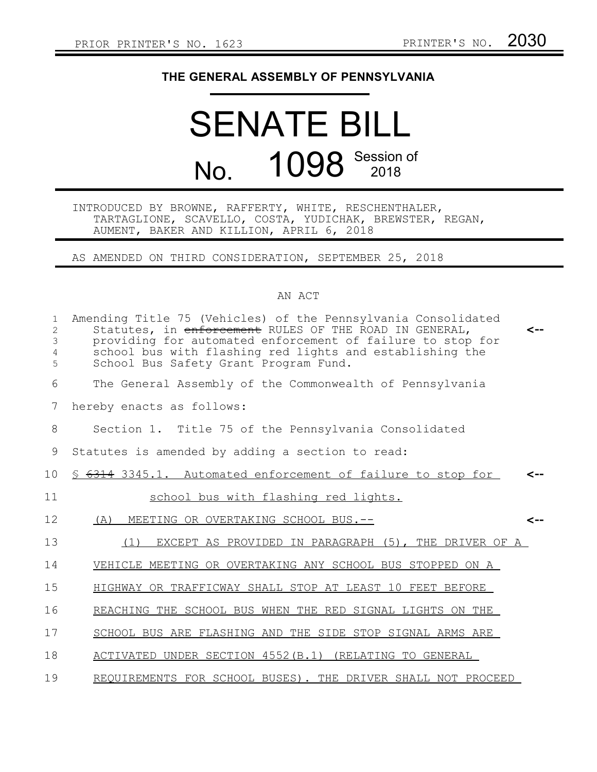## **THE GENERAL ASSEMBLY OF PENNSYLVANIA**

## SENATE BILL No. 1098 Session of

## INTRODUCED BY BROWNE, RAFFERTY, WHITE, RESCHENTHALER, TARTAGLIONE, SCAVELLO, COSTA, YUDICHAK, BREWSTER, REGAN, AUMENT, BAKER AND KILLION, APRIL 6, 2018

AS AMENDED ON THIRD CONSIDERATION, SEPTEMBER 25, 2018

## AN ACT

| $\mathbf{1}$<br>2<br>3<br>4<br>5 | Amending Title 75 (Vehicles) of the Pennsylvania Consolidated<br>Statutes, in enforcement RULES OF THE ROAD IN GENERAL,<br><--<br>providing for automated enforcement of failure to stop for<br>school bus with flashing red lights and establishing the<br>School Bus Safety Grant Program Fund. |
|----------------------------------|---------------------------------------------------------------------------------------------------------------------------------------------------------------------------------------------------------------------------------------------------------------------------------------------------|
| 6                                | The General Assembly of the Commonwealth of Pennsylvania                                                                                                                                                                                                                                          |
| 7                                | hereby enacts as follows:                                                                                                                                                                                                                                                                         |
| 8                                | Section 1. Title 75 of the Pennsylvania Consolidated                                                                                                                                                                                                                                              |
| 9                                | Statutes is amended by adding a section to read:                                                                                                                                                                                                                                                  |
| 10                               | \$ 6314 3345.1. Automated enforcement of failure to stop for<br><--                                                                                                                                                                                                                               |
| 11                               | school bus with flashing red lights.                                                                                                                                                                                                                                                              |
| 12                               | (A) MEETING OR OVERTAKING SCHOOL BUS.--<br>$\leftarrow$                                                                                                                                                                                                                                           |
| 13                               | EXCEPT AS PROVIDED IN PARAGRAPH (5), THE DRIVER OF A<br>(1)                                                                                                                                                                                                                                       |
| 14                               | VEHICLE MEETING OR OVERTAKING ANY SCHOOL BUS STOPPED ON A                                                                                                                                                                                                                                         |
| 15                               | HIGHWAY OR TRAFFICWAY SHALL STOP AT LEAST 10 FEET BEFORE                                                                                                                                                                                                                                          |
| 16                               | REACHING THE SCHOOL BUS WHEN THE RED SIGNAL LIGHTS ON THE                                                                                                                                                                                                                                         |
| 17                               | SCHOOL BUS ARE FLASHING AND THE SIDE STOP SIGNAL ARMS ARE                                                                                                                                                                                                                                         |
| 18                               | ACTIVATED UNDER SECTION 4552 (B.1) (RELATING TO GENERAL                                                                                                                                                                                                                                           |
| 19                               | REQUIREMENTS FOR SCHOOL BUSES). THE DRIVER SHALL NOT PROCEED                                                                                                                                                                                                                                      |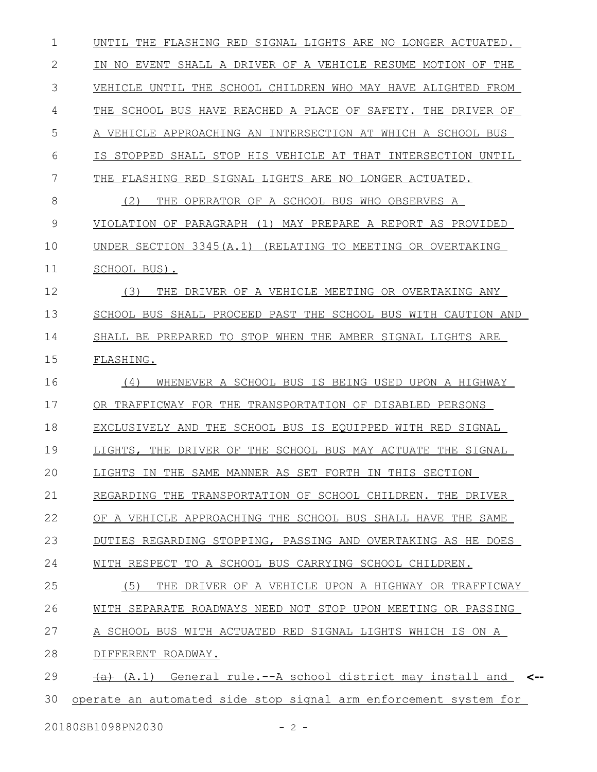UNTIL THE FLASHING RED SIGNAL LIGHTS ARE NO LONGER ACTUATED. IN NO EVENT SHALL A DRIVER OF A VEHICLE RESUME MOTION OF THE VEHICLE UNTIL THE SCHOOL CHILDREN WHO MAY HAVE ALIGHTED FROM THE SCHOOL BUS HAVE REACHED A PLACE OF SAFETY. THE DRIVER OF A VEHICLE APPROACHING AN INTERSECTION AT WHICH A SCHOOL BUS IS STOPPED SHALL STOP HIS VEHICLE AT THAT INTERSECTION UNTIL THE FLASHING RED SIGNAL LIGHTS ARE NO LONGER ACTUATED. (2) THE OPERATOR OF A SCHOOL BUS WHO OBSERVES A VIOLATION OF PARAGRAPH (1) MAY PREPARE A REPORT AS PROVIDED UNDER SECTION 3345(A.1) (RELATING TO MEETING OR OVERTAKING SCHOOL BUS). (3) THE DRIVER OF A VEHICLE MEETING OR OVERTAKING ANY SCHOOL BUS SHALL PROCEED PAST THE SCHOOL BUS WITH CAUTION AND SHALL BE PREPARED TO STOP WHEN THE AMBER SIGNAL LIGHTS ARE FLASHING. (4) WHENEVER A SCHOOL BUS IS BEING USED UPON A HIGHWAY OR TRAFFICWAY FOR THE TRANSPORTATION OF DISABLED PERSONS EXCLUSIVELY AND THE SCHOOL BUS IS EQUIPPED WITH RED SIGNAL LIGHTS, THE DRIVER OF THE SCHOOL BUS MAY ACTUATE THE SIGNAL LIGHTS IN THE SAME MANNER AS SET FORTH IN THIS SECTION REGARDING THE TRANSPORTATION OF SCHOOL CHILDREN. THE DRIVER OF A VEHICLE APPROACHING THE SCHOOL BUS SHALL HAVE THE SAME DUTIES REGARDING STOPPING, PASSING AND OVERTAKING AS HE DOES WITH RESPECT TO A SCHOOL BUS CARRYING SCHOOL CHILDREN. (5) THE DRIVER OF A VEHICLE UPON A HIGHWAY OR TRAFFICWAY WITH SEPARATE ROADWAYS NEED NOT STOP UPON MEETING OR PASSING A SCHOOL BUS WITH ACTUATED RED SIGNAL LIGHTS WHICH IS ON A DIFFERENT ROADWAY. (a) (A.1) General rule.--A school district may install and **<-** operate an automated side stop signal arm enforcement system for 1 2 3 4 5 6 7 8 9 10 11 12 13 14 15 16 17 18 19 20 21 22 23 24 25 26 27 28 29 30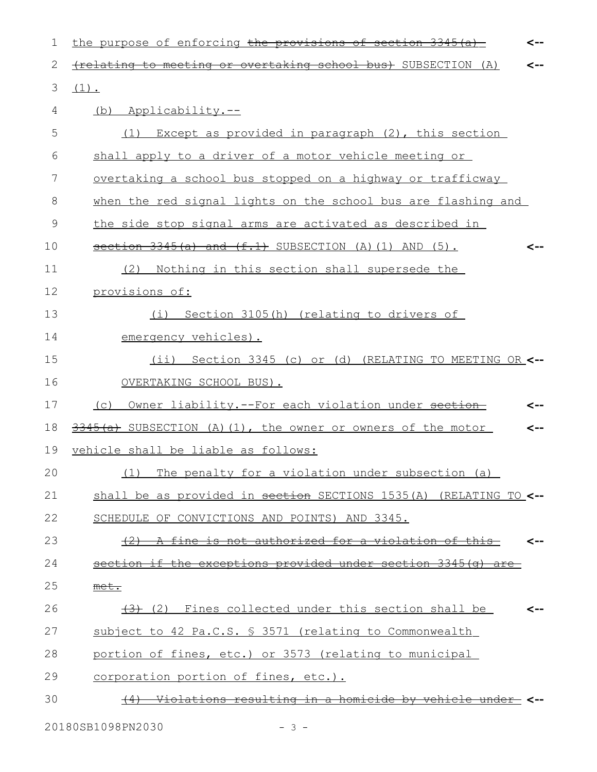| 1  | the purpose of enforcing the provisions of section $3345(a)$<br><--        |
|----|----------------------------------------------------------------------------|
| 2  | (relating to meeting or overtaking school bus) SUBSECTION (A)              |
| 3  | $(1)$ .                                                                    |
| 4  | (b) Applicability.--                                                       |
| 5  | (1) Except as provided in paragraph (2), this section                      |
| 6  | shall apply to a driver of a motor vehicle meeting or                      |
| 7  | overtaking a school bus stopped on a highway or trafficway                 |
| 8  | when the red signal lights on the school bus are flashing and              |
| 9  | the side stop signal arms are activated as described in                    |
| 10 | $section 3345(a)$ and $(f.1)$ SUBSECTION (A)(1) AND (5).<br><--            |
| 11 | Nothing in this section shall supersede the<br>(2)                         |
| 12 | provisions of:                                                             |
| 13 | Section 3105(h) (relating to drivers of<br>(i)                             |
| 14 | emergency vehicles).                                                       |
| 15 | (ii) Section 3345 (c) or (d) (RELATING TO MEETING OR <--                   |
| 16 | OVERTAKING SCHOOL BUS).                                                    |
| 17 | (c) Owner liability.--For each violation under section<br><--              |
| 18 | 3345(a) SUBSECTION (A)(1), the owner or owners of the motor                |
| 19 | vehicle shall be liable as follows:                                        |
| 20 | (1) The penalty for a violation under subsection (a)                       |
| 21 | shall be as provided in section SECTIONS 1535(A) (RELATING TO <--          |
| 22 | SCHEDULE OF CONVICTIONS AND POINTS) AND 3345.                              |
| 23 | A fine is not authorized for a violation of this-<br>$+2$                  |
| 24 | section if the exceptions provided under section 3345(a) are               |
| 25 | met.                                                                       |
| 26 | $\left(\frac{1}{2}\right)$ (2) Fines collected under this section shall be |
| 27 | subject to 42 Pa.C.S. § 3571 (relating to Commonwealth                     |
| 28 | portion of fines, etc.) or 3573 (relating to municipal                     |
| 29 | corporation portion of fines, etc.).                                       |
| 30 | <u>Violations resulting in a homicide by vehicle unde</u>                  |
|    |                                                                            |

20180SB1098PN2030 - 3 -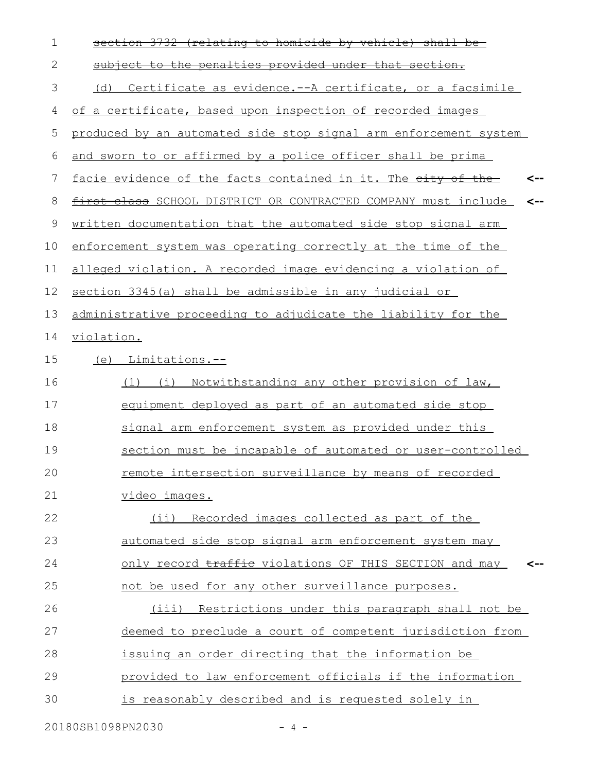| 1  | section 3732 (relating to homicide by vehicle) shall be             |
|----|---------------------------------------------------------------------|
| 2  | subject to the penalties provided under that section.               |
| 3  | Certificate as evidence.--A certificate, or a facsimile<br>(d)      |
| 4  | of a certificate, based upon inspection of recorded images          |
| 5  | produced by an automated side stop signal arm enforcement system    |
| 6  | and sworn to or affirmed by a police officer shall be prima         |
| 7  | facie evidence of the facts contained in it. The eity of the<br>--> |
| 8  | first class SCHOOL DISTRICT OR CONTRACTED COMPANY must include      |
| 9  | written documentation that the automated side stop signal arm       |
| 10 | enforcement system was operating correctly at the time of the       |
| 11 | alleged violation. A recorded image evidencing a violation of       |
| 12 | section 3345(a) shall be admissible in any judicial or              |
| 13 | administrative proceeding to adjudicate the liability for the       |
| 14 | violation.                                                          |
| 15 | (e) Limitations.--                                                  |
| 16 | Notwithstanding any other provision of law,<br>$(1)$ $(i)$          |
| 17 | equipment deployed as part of an automated side stop                |
| 18 | signal arm enforcement system as provided under this                |
| 19 | section must be incapable of automated or user-controlled           |
| 20 | remote intersection surveillance by means of recorded               |
| 21 | video images.                                                       |
| 22 | (ii) Recorded images collected as part of the                       |
| 23 | automated side stop signal arm enforcement system may               |
| 24 | only record traffie violations OF THIS SECTION and may              |
| 25 | not be used for any other surveillance purposes.                    |
| 26 | (iii) Restrictions under this paragraph shall not be                |
| 27 | deemed to preclude a court of competent jurisdiction from           |
| 28 | issuing an order directing that the information be                  |
| 29 | provided to law enforcement officials if the information            |
| 30 | is reasonably described and is requested solely in                  |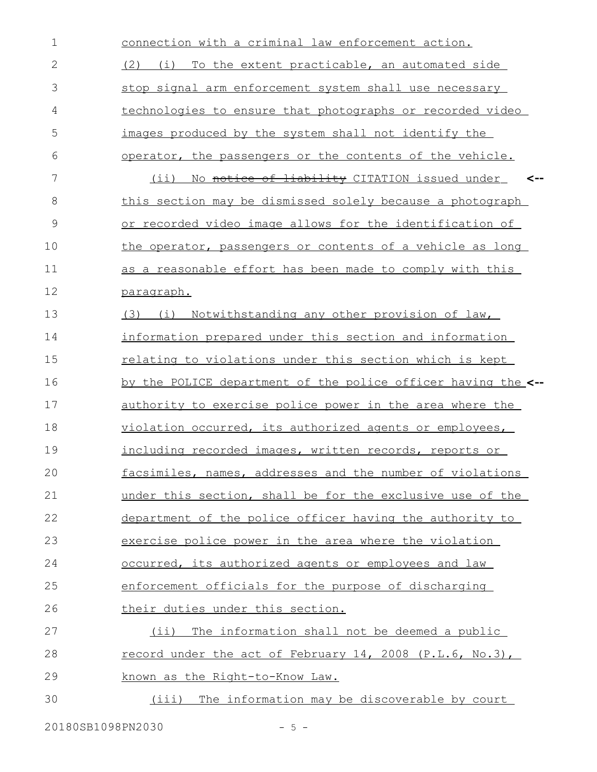| $\mathbf 1$  | connection with a criminal law enforcement action.              |
|--------------|-----------------------------------------------------------------|
| $\mathbf{2}$ | To the extent practicable, an automated side<br>(2)<br>(i)      |
| 3            | stop signal arm enforcement system shall use necessary          |
| 4            | technologies to ensure that photographs or recorded video       |
| 5            | images produced by the system shall not identify the            |
| 6            | operator, the passengers or the contents of the vehicle.        |
| 7            | No notice of liability CITATION issued under<br>(i)             |
| 8            | this section may be dismissed solely because a photograph       |
| 9            | or recorded video image allows for the identification of        |
| 10           | the operator, passengers or contents of a vehicle as long       |
| 11           | as a reasonable effort has been made to comply with this        |
| 12           | paragraph.                                                      |
| 13           | Notwithstanding any other provision of law,<br>$(3)$ $(i)$      |
| 14           | information prepared under this section and information         |
| 15           | relating to violations under this section which is kept         |
| 16           | by the POLICE department of the police officer having the <--   |
| 17           | authority to exercise police power in the area where the        |
| 18           | violation occurred, its authorized agents or employees,         |
| 19           | including recorded images, written records, reports or          |
| 20           | facsimiles, names, addresses and the number of violations       |
| 21           | under this section, shall be for the exclusive use of the       |
| 22           | department of the police officer having the authority to        |
| 23           | exercise police power in the area where the violation           |
| 24           | occurred, its authorized agents or employees and law            |
| 25           | enforcement officials for the purpose of discharging            |
| 26           | their duties under this section.                                |
| 27           | The information shall not be deemed a public<br>(i)             |
| 28           | <u>record under the act of February 14, 2008 (P.L.6, No.3),</u> |
| 29           | known as the Right-to-Know Law.                                 |
| 30           | (iii) The information may be discoverable by court              |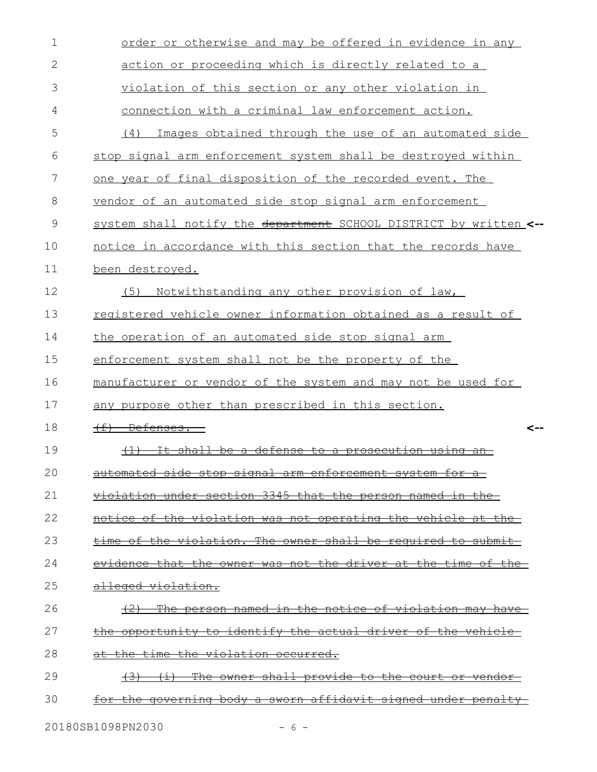| $\mathbf 1$  | order or otherwise and may be offered in evidence in any                               |
|--------------|----------------------------------------------------------------------------------------|
| $\mathbf{2}$ | action or proceeding which is directly related to a                                    |
| 3            | violation of this section or any other violation in                                    |
| 4            | connection with a criminal law enforcement action.                                     |
| 5            | Images obtained through the use of an automated side<br>(4)                            |
| 6            | stop signal arm enforcement system shall be destroyed within                           |
| 7            | one year of final disposition of the recorded event. The                               |
| 8            | vendor of an automated side stop signal arm enforcement                                |
| 9            | system shall notify the department SCHOOL DISTRICT by written <--                      |
| 10           | notice in accordance with this section that the records have                           |
| 11           | been destroyed.                                                                        |
| 12           | Notwithstanding any other provision of law,<br>(5)                                     |
| 13           | registered vehicle owner information obtained as a result of                           |
| 14           | the operation of an automated side stop signal arm                                     |
| 15           | enforcement system shall not be the property of the                                    |
| 16           | manufacturer or vendor of the system and may not be used for                           |
| 17           | any purpose other than prescribed in this section.                                     |
| 18           | $(f)$ Defenses.<br><--                                                                 |
| 19           | It shall be a defense to a prosecution<br>$+1$<br><del>usin</del>                      |
| 20           | automated side stop signal arm enforcement system for                                  |
| 21           | violation under section 3345 that the person named in the                              |
| 22           | notice of the violation was not operating the vehicle at the                           |
| 23           | time of the violation. The owner shall be required to submit-                          |
| 24           | evidence that the owner was not the driver at the time of the-                         |
| 25           | alleged violation.                                                                     |
| 26           | <u>The person named in the notice of violation may have-</u><br>$+2$                   |
| 27           | the opportunity to identify the actual driver of the vehicle                           |
| 28           | at the time the violation occurred.                                                    |
| 29           | The owner shall provide to the court or vendor-<br><del>(3)</del><br>$\leftrightarrow$ |
| 30           | for the governing body a sworn affidavit signed under penalty                          |
|              |                                                                                        |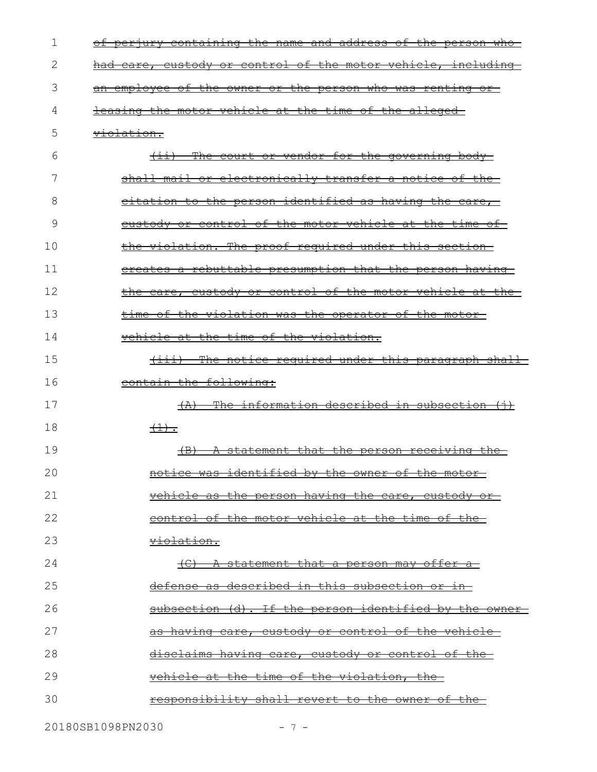| 1  | of perjury containing the name and address of the person who   |
|----|----------------------------------------------------------------|
| 2  | had care, custody or control of the motor vehicle, including-  |
| 3  | an employee of the owner or the person who was renting or      |
| 4  | leasing the motor vehicle at the time of the alleged-          |
| 5  | <del>violation.</del>                                          |
| 6  | (ii) The court or vendor for the governing body                |
| 7  | shall mail or electronically transfer a notice of the-         |
| 8  | eitation to the person identified as having the care,          |
| 9  | <u>eustody or control of the motor vehicle at the time of-</u> |
| 10 | the violation. The proof required under this section           |
| 11 | ereates a rebuttable presumption that the person having-       |
| 12 | the care, custody or control of the motor vehicle at the-      |
| 13 | time of the violation was the operator of the motor-           |
| 14 | vehicle at the time of the violation.                          |
| 15 | (iii) The notice required under this paragraph shall           |
| 16 | contain the following:                                         |
| 17 | $(A)$ The information described in subsection $(+)$            |
| 18 | $\left(\frac{1}{2}\right)$ .                                   |
| 19 | $\overline{AB}$<br>A statement that the person receiving the   |
| 20 | notice was identified by the owner of the motor-               |
| 21 | vehicle as the person having the care, custody or-             |
| 22 | control of the motor vehicle at the time of the                |
| 23 | <del>violation.</del>                                          |
| 24 | <u>(C) A statement that a person may offer a </u>              |
| 25 | defense as described in this subsection or in-                 |
| 26 | subsection (d). If the person identified by the owner-         |
| 27 | <u>as having care, custody or control of the vehicle-</u>      |
| 28 | disclaims having care, custody or control of the               |
| 29 | vehicle at the time of the violation, the-                     |
| 30 | responsibility shall revert to the owner of the                |
|    |                                                                |

20180SB1098PN2030 - 7 -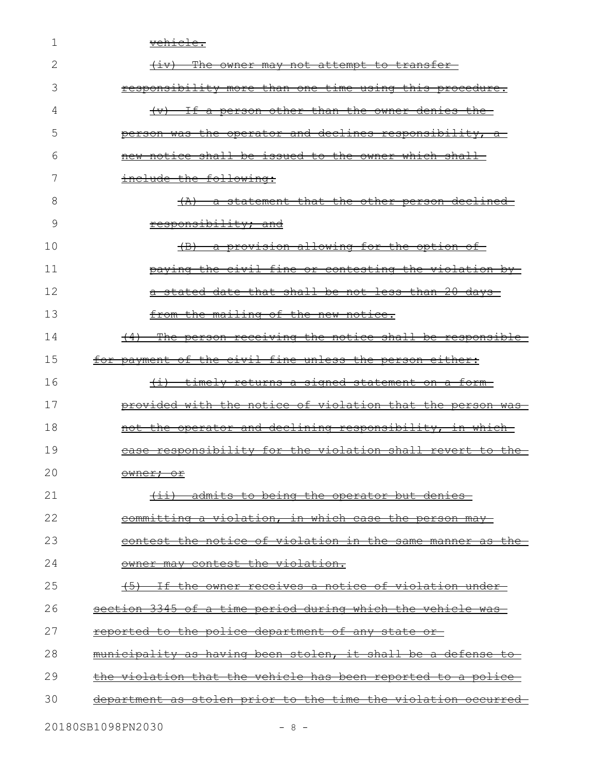| 1  | <del>vehicle.</del>                                           |
|----|---------------------------------------------------------------|
| 2  | (iv) The owner may not attempt to transfer                    |
| 3  | responsibility more than one time using this procedure.       |
| 4  | (v) If a person other than the owner denies the               |
| 5  | person was the operator and declines responsibility, a        |
| 6  | new notice shall be issued to the owner which shall-          |
| 7  | include the following:                                        |
| 8  | (A) a statement that the other person declined                |
| 9  | responsibility; and                                           |
| 10 | (B) a provision allowing for the option of                    |
| 11 | paying the civil fine or contesting the violation by-         |
| 12 | a stated date that shall be not less than 20 days-            |
| 13 | from the mailing of the new notice.                           |
| 14 | (4) The person receiving the notice shall be responsible      |
| 15 | for payment of the civil fine unless the person either:       |
| 16 | <u>(i) timely returns a signed statement on a form-</u>       |
| 17 | provided with the notice of violation that the person was-    |
| 18 | not the operator and declining responsibility, in which       |
| 19 | case responsibility for the violation shall revert to the-    |
| 20 | owner; or                                                     |
| 21 | (ii) admits to being the operator but denies-                 |
| 22 | committing a violation, in which case the person may-         |
| 23 | contest the notice of violation in the same manner as the-    |
| 24 | owner may contest the violation.                              |
| 25 | (5) If the owner receives a notice of violation under-        |
| 26 | section 3345 of a time period during which the vehicle was-   |
| 27 | reported to the police department of any state or             |
| 28 | municipality as having been stolen, it shall be a defense to  |
| 29 | the violation that the vehicle has been reported to a police  |
| 30 | department as stolen prior to the time the violation occurred |
|    | 20180SB1098PN2030<br>$-8-$                                    |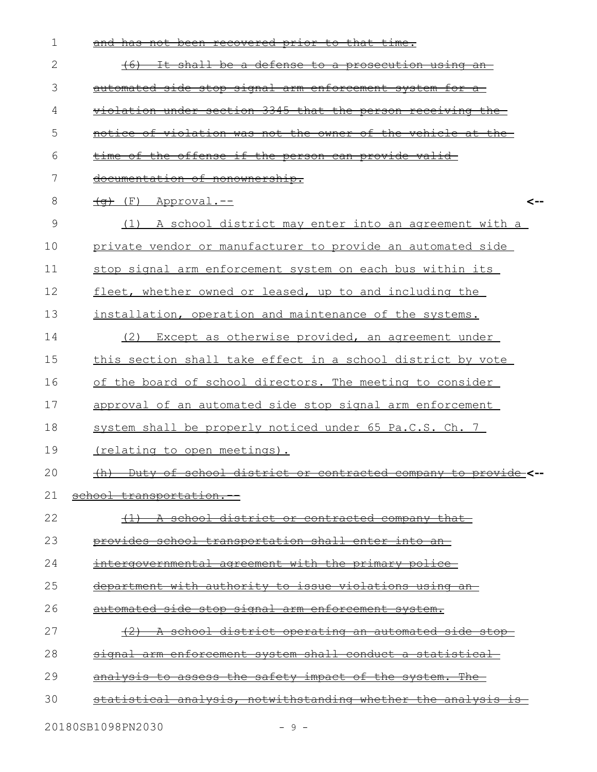| $\mathbf 1$  | has not been recovered prior to that time.                     |
|--------------|----------------------------------------------------------------|
| $\mathbf{2}$ | It shall be a defense to a prosecution using an<br>$+6$        |
| 3            | automated side stop signal arm enforcement system for          |
| 4            | violation under section 3345 that the person receiving the     |
| 5            | notice of violation was not the owner of the vehicle at the    |
| 6            | time of the offense if the person can provide valid-           |
| 7            | documentation of nonownership.                                 |
| 8            | $\overline{(q)}$ (F) Approval.--<br><--                        |
| 9            | A school district may enter into an agreement with a<br>(1)    |
| 10           | private vendor or manufacturer to provide an automated side    |
| 11           | stop signal arm enforcement system on each bus within its      |
| 12           | fleet, whether owned or leased, up to and including the        |
| 13           | installation, operation and maintenance of the systems.        |
| 14           | Except as otherwise provided, an agreement under<br>(2)        |
| 15           | this section shall take effect in a school district by vote    |
| 16           | of the board of school directors. The meeting to consider      |
| 17           | approval of an automated side stop signal arm enforcement      |
| 18           | system shall be properly noticed under 65 Pa.C.S. Ch. 7        |
| 19           | <u>(relating to open meetings).</u>                            |
| 20           | (h) Duty of school district or contracted company to provide   |
| 21           | school transportation.                                         |
| 22           | <u>(1) A school district or contracted company that</u>        |
| 23           | provides school transportation shall enter into an-            |
| 24           | intergovernmental agreement with the primary police            |
| 25           | department with authority to issue violations using an-        |
| 26           | <u>automated side stop signal arm enforcement system.</u>      |
| 27           | <u>(2) A school district operating an automated side stop-</u> |
| 28           | signal arm enforcement system shall conduct a statistical-     |
| 29           | analysis to assess the safety impact of the system. The        |
| 30           | statistical analysis, notwithstanding whether the analysis is  |
|              |                                                                |

20180SB1098PN2030 - 9 -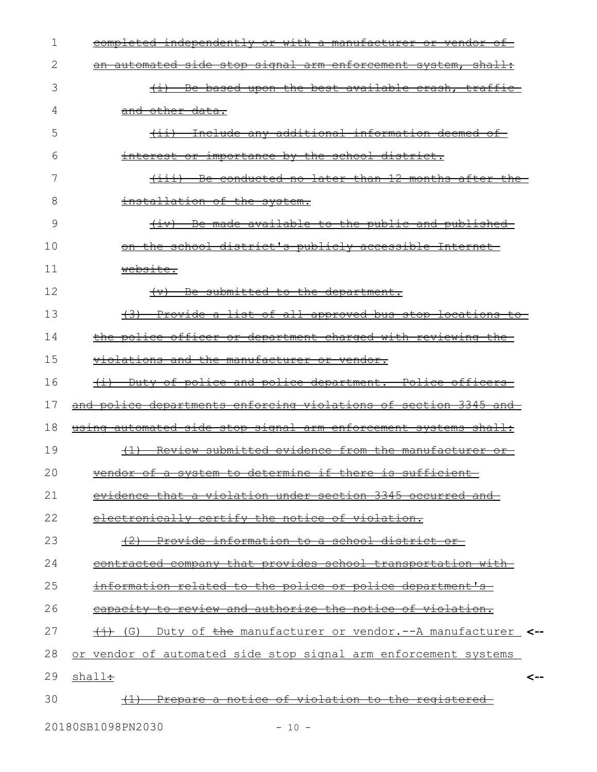| 1  | completed independently or with a manufacturer or vendor of                                                              |
|----|--------------------------------------------------------------------------------------------------------------------------|
| 2  | an automated side stop signal arm enforcement system, shall:                                                             |
| 3  | (i) Be based upon the best available crash, traffic-                                                                     |
| 4  | and other data.                                                                                                          |
| 5  | (ii) Include any additional information deemed of                                                                        |
| 6  | interest or importance by the school district.                                                                           |
| 7  | (iii) Be conducted no later than 12 months after the                                                                     |
| 8  | installation of the system.                                                                                              |
| 9  | (iv) Be made available to the public and published                                                                       |
| 10 | on the school district's publicly accessible Internet-                                                                   |
| 11 | website.                                                                                                                 |
| 12 | Be submitted to the department.<br>$\leftarrow$                                                                          |
| 13 | (3) Provide a list of all approved bus stop locations to                                                                 |
| 14 | <u>the police officer or department charged with reviewing the-</u>                                                      |
| 15 | violations and the manufacturer or vendor.                                                                               |
| 16 | <u>(i) Duty of police and police department. -Police officers-</u>                                                       |
| 17 | and police departments enforcing violations of section 3345 and                                                          |
| 18 | using automated side stop signal arm enforcement systems shall:                                                          |
| 19 | (1) Review submitted evidence from the manufacturer or-                                                                  |
| 20 | dan af a sustam ta datamina if thana is auffiniant<br><del>venaor of a system to determine if there is sufficient.</del> |
| 21 | evidence that a violation under section 3345 occurred and                                                                |
| 22 | electronically certify the notice of violation.                                                                          |
| 23 | (2) Provide information to a school district or-                                                                         |
| 24 | contracted company that provides school transportation with                                                              |
| 25 | information related to the police or police department's                                                                 |
| 26 | eapacity to review and authorize the notice of violation.                                                                |
| 27 | (G) Duty of the manufacturer or vendor.--A manufacturer <--                                                              |
| 28 | or vendor of automated side stop signal arm enforcement systems                                                          |
| 29 | shall÷<br><--                                                                                                            |
| 30 | <u>Prepare a notice of violation to the registered-</u>                                                                  |
|    |                                                                                                                          |

20180SB1098PN2030 - 10 -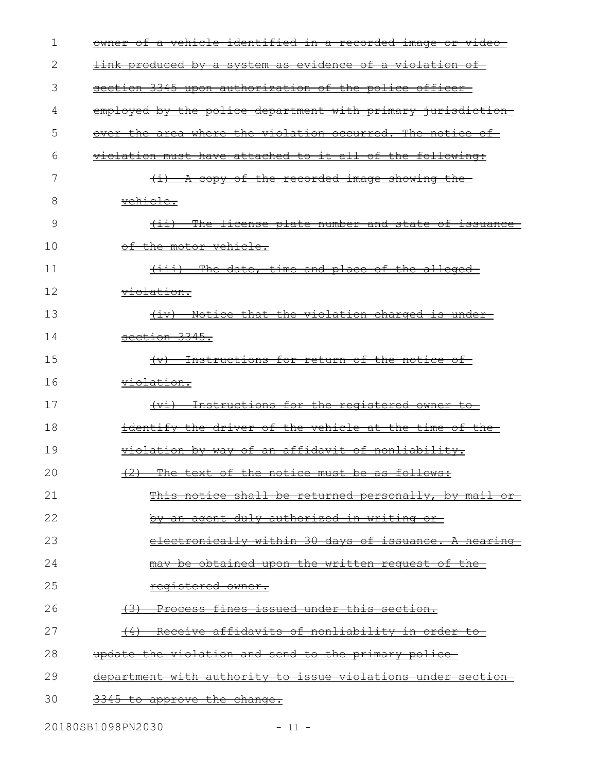| 1  | a vehicle identified in a recorded image or video-<br><del>owner of</del> |
|----|---------------------------------------------------------------------------|
| 2  | <u>link produced by a system as evidence of a violation of </u>           |
| 3  | section 3345 upon authorization of the police officer                     |
| 4  | employed by the police department with primary jurisdiction-              |
| 5  | <u>over the area where the violation occurred. The notice of </u>         |
| 6  | violation must have attached to it all of the following:                  |
| 7  | (i) A copy of the recorded image showing the                              |
| 8  | <del>vehicle.</del>                                                       |
| 9  | (ii) The license plate number and state of issuance                       |
| 10 | <del>of the motor vehicle.</del>                                          |
| 11 | (iii) The date, time and place of the alleged                             |
| 12 | <del>violation.</del>                                                     |
| 13 | (iv) Notice that the violation charged is under                           |
| 14 | section 3345.                                                             |
| 15 | (v) Instructions for return of the notice of                              |
| 16 | <del>violation.</del>                                                     |
| 17 | (vi) Instructions for the registered owner to                             |
| 18 | <u>identify the driver of the vehicle at the time of the-</u>             |
| 19 | violation by way of an affidavit of nonliability.                         |
| 20 | (2) The text of the notice must be as follows:                            |
| 21 | This notice shall be returned personally, by mail or                      |
| 22 | <u>by an agent duly authorized in writing or-</u>                         |
| 23 | electronically within 30 days of issuance. A hearing                      |
| 24 | may be obtained upon the written request of the-                          |
| 25 | registered owner.                                                         |
| 26 | <u>(3) Process fines issued under this section.</u>                       |
| 27 | Receive affidavits of nonliability in order to<br>(4)                     |
| 28 | update the violation and send to the primary police                       |
| 29 | department with authority to issue violations under section               |
| 30 | 3345 to approve the change.                                               |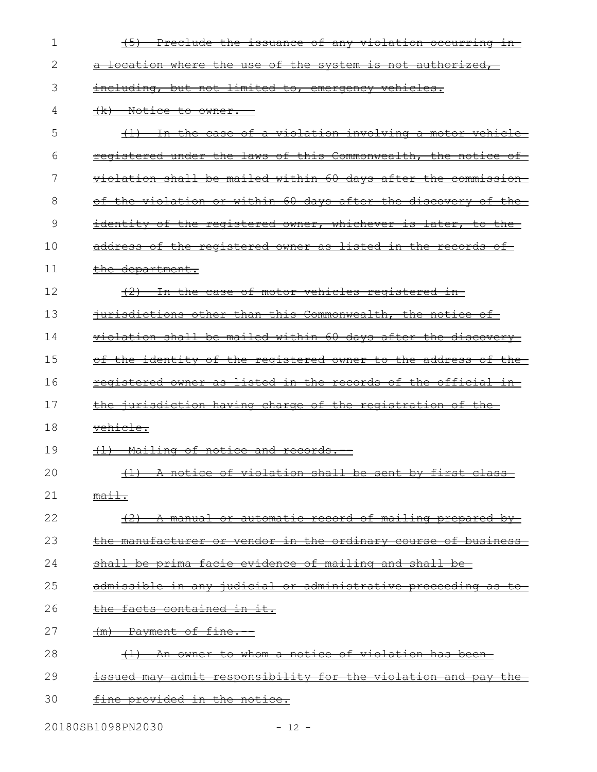| 1  | (5) Preclude the issuance of any violation occurring in-             |
|----|----------------------------------------------------------------------|
| 2  | a location where the use of the system is not authorized,            |
| 3  | including, but not limited to, emergency vehicles.                   |
| 4  | (k) Notice to owner.                                                 |
| 5  | (1) In the case of a violation involving a motor vehicle             |
| 6  | registered under the laws of this Commonwealth, the notice of        |
| 7  | violation shall be mailed within 60 days after the commission        |
| 8  | the violation or within 60 days after the discovery of the           |
| 9  | identity of the registered owner, whichever is later, to the         |
| 10 | address of the registered owner as listed in the records of          |
| 11 | the department.                                                      |
| 12 | <u>(2) In the case of motor vehicles registered in </u>              |
| 13 | iurisdictions other than this Commonwealth, the notice of            |
| 14 | <u>violation shall be mailed within 60 days after the discovery-</u> |
| 15 | of the identity of the registered owner to the address of the        |
| 16 | registered owner as listed in the records of the official in-        |
| 17 | the jurisdiction having charge of the registration of the            |
| 18 | <del>vehicle.</del>                                                  |
| 19 | Mailing of notice and records.--                                     |
| 20 | (1) A notice of violation shall be sent by first class               |
| 21 | $\overline{\mathtt{main}}$ .                                         |
| 22 | (2) A manual or automatic record of mailing prepared by              |
| 23 | the manufacturer or vendor in the ordinary course of business        |
| 24 | <u>shall be prima facie evidence of mailing and shall be-</u>        |
| 25 | admissible in any judicial or administrative proceeding as to        |
| 26 | the facts contained in it.                                           |
| 27 | (m) Payment of fine.                                                 |
| 28 | (1) An owner to whom a notice of violation has been                  |
| 29 | issued may admit responsibility for the violation and pay the        |
| 30 | <u>fine provided in the notice.</u>                                  |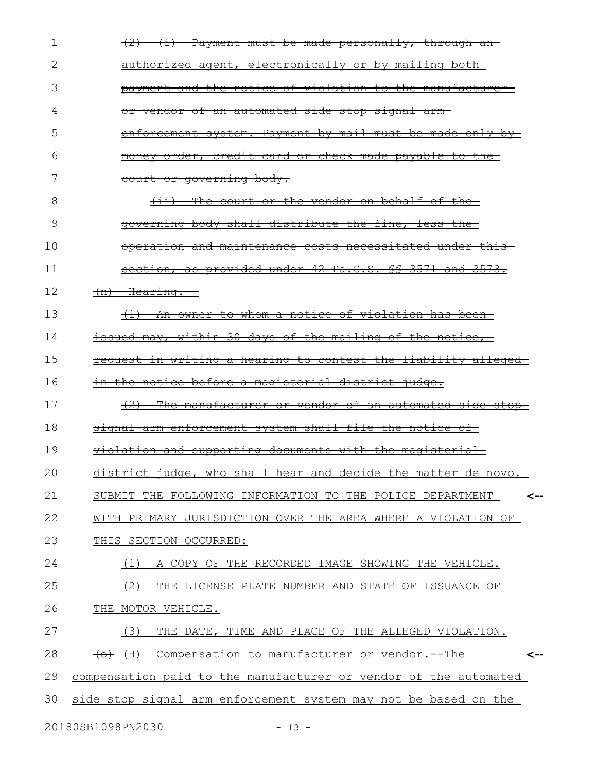| 1  | (2) (i) Payment must be made personally, through an                                                                                                                               |
|----|-----------------------------------------------------------------------------------------------------------------------------------------------------------------------------------|
| 2  | <u>authorized agent, electronically or by mailing both-</u>                                                                                                                       |
| 3  | payment and the notice of violation to the manufacturer-                                                                                                                          |
| 4  | <u>or vendor of an automated side stop signal arm-</u>                                                                                                                            |
| 5  | enforcement system. Payment by mail must be made only by-                                                                                                                         |
| 6  | <u>money order, credit card or check made payable to the-</u>                                                                                                                     |
| 7  | court or governing body.                                                                                                                                                          |
| 8  | <u>(ii) The court or the vendor on behalf of the-</u>                                                                                                                             |
| 9  | governing body shall distribute the fine, less the                                                                                                                                |
| 10 | operation and maintenance costs necessitated under this                                                                                                                           |
| 11 | section, as provided under 42 Pa.C.S. §§ 3571 and 3573.                                                                                                                           |
| 12 | $(n)$ Hearing.                                                                                                                                                                    |
| 13 | (1) An owner to whom a notice of violation has been-                                                                                                                              |
| 14 | issued may, within 30 days of the mailing of the notice,                                                                                                                          |
| 15 | request in writing a hearing to contest the liability alleged                                                                                                                     |
| 16 | <u>in the notice before a magisterial district judge.</u>                                                                                                                         |
| 17 | (2) The manufacturer or vendor of an automated side stop-                                                                                                                         |
| 18 | signal arm enforcement system shall file the notice of                                                                                                                            |
| 19 | violation and supporting documents with the magisterial                                                                                                                           |
| 20 | $\frac{1}{2}$ at $\frac{1}{2}$ indee the aboll been and decide the matter de ne<br>क्राप्त<br>$\overline{\texttt{H}\texttt{O}\texttt{v}\texttt{O}}$ .<br>near<br>aecrae<br>maccer |
| 21 | SUBMIT THE FOLLOWING INFORMATION TO THE POLICE DEPARTMENT<br><--                                                                                                                  |
| 22 | WITH PRIMARY JURISDICTION OVER THE AREA WHERE A VIOLATION OF                                                                                                                      |
| 23 | THIS SECTION OCCURRED:                                                                                                                                                            |
| 24 | A COPY OF THE RECORDED IMAGE SHOWING THE VEHICLE.<br>(1)                                                                                                                          |
| 25 | (2)<br>THE LICENSE PLATE NUMBER AND STATE OF ISSUANCE OF                                                                                                                          |
| 26 | THE MOTOR VEHICLE.                                                                                                                                                                |
| 27 | (3)<br>THE DATE, TIME AND PLACE OF THE ALLEGED VIOLATION.                                                                                                                         |
| 28 | Compensation to manufacturer or vendor.--The<br><del>(o)</del> (H)<br><--                                                                                                         |
| 29 | compensation paid to the manufacturer or vendor of the automated                                                                                                                  |
| 30 | side stop signal arm enforcement system may not be based on the                                                                                                                   |
|    |                                                                                                                                                                                   |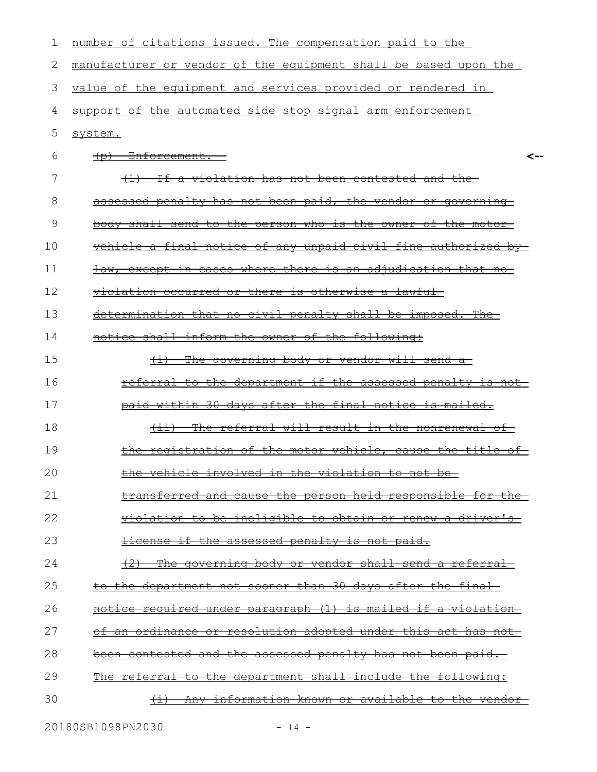| 1  | number of citations issued. The compensation paid to the             |
|----|----------------------------------------------------------------------|
| 2  | manufacturer or vendor of the equipment shall be based upon the      |
| 3  | value of the equipment and services provided or rendered in          |
| 4  | support of the automated side stop signal arm enforcement            |
| 5  | system.                                                              |
| 6  | $(p)$ Enforcement.                                                   |
| 7  | (1) If a violation has not been contested and the                    |
| 8  | assessed penalty has not been paid, the vendor or governing          |
| 9  | body shall send to the person who is the owner of the motor-         |
| 10 | vehicle a final notice of any unpaid civil fine authorized by-       |
| 11 | law, except in cases where there is an adjudication that no          |
| 12 | violation occurred or there is otherwise a lawful-                   |
| 13 | determination that no civil penalty shall be imposed. The            |
| 14 | notice shall inform the owner of the following:                      |
| 15 | <u>(i) The governing body or vendor will send a-</u>                 |
| 16 | <u>referral to the department if the assessed penalty is not-</u>    |
| 17 | paid within 30 days after the final notice is mailed.                |
| 18 | $+ i +$<br>The referral will result in the nonrenewal of-            |
| 19 | the registration of the motor vehicle, cause the title of            |
| 20 | the vehicle involved in the violation to not be                      |
| 21 | transferred and cause the person held responsible for the            |
| 22 | violation to be ineligible to obtain or renew a driver's-            |
| 23 | license if the assessed penalty is not paid.                         |
| 24 | $+2$<br><u>The governing body or vendor shall send a referral-</u>   |
| 25 | to the department not sooner than 30 days after the final            |
| 26 | <u>notice required under paragraph (1) is mailed if a violation-</u> |
| 27 | <u>of an ordinance or resolution adopted under this act has not-</u> |
| 28 | been contested and the assessed penalty has not been paid.           |
| 29 | The referral to the department shall include the following:          |
| 30 | <u>Any information known or available to the vendor-</u>             |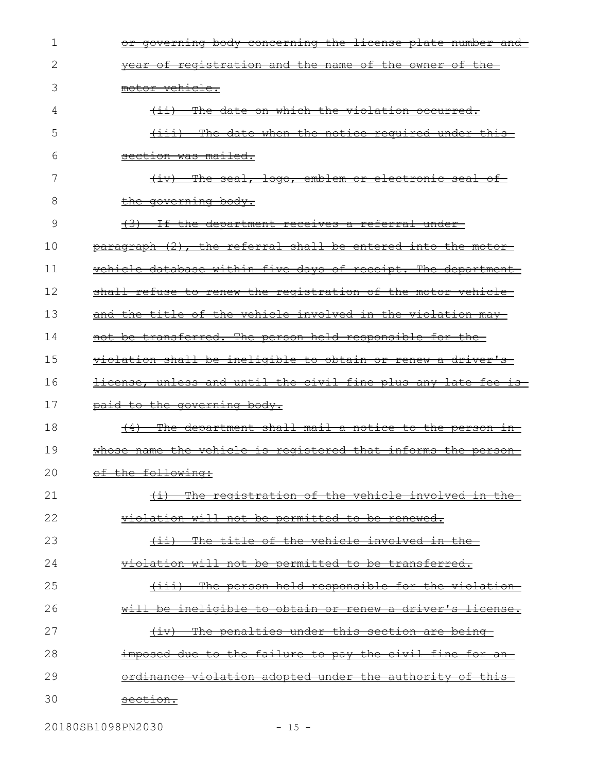| 1  | governing body concerning the license plate number and                        |
|----|-------------------------------------------------------------------------------|
| 2  | vear of registration and the name of the owner of the-                        |
| 3  | motor vehicle.                                                                |
| 4  | The date on which the violation occurred.<br>$\overline{ \left( 11 \right) }$ |
| 5  | (iii) The date when the notice required under this-                           |
| 6  | <del>section was mailed.</del>                                                |
| 7  | The seal, logo, emblem or electronic seal of-<br>$\leftarrow$                 |
| 8  | <u>the governing body.</u>                                                    |
| 9  | (3) If the department receives a referral under-                              |
| 10 | paragraph (2), the referral shall be entered into the motor-                  |
| 11 | vehicle database within five days of receipt. The department                  |
| 12 | shall refuse to renew the registration of the motor vehicle-                  |
| 13 | and the title of the vehicle involved in the violation may-                   |
| 14 | not be transferred. The person held responsible for the-                      |
| 15 | violation shall be ineligible to obtain or renew a driver's                   |
|    |                                                                               |
| 16 | license, unless and until the civil fine plus any late fee is                 |
| 17 | paid to the governing body.                                                   |
| 18 | The department shall mail a notice to the person in<br>$\left(4\right)$       |
| 19 | whose name the vehicle is registered that informs the person                  |
| 20 | of the following:                                                             |
| 21 | The registration of the vehicle involved in the<br>$+$ $+$                    |
| 22 | violation will not be permitted to be renewed.                                |
| 23 | The title of the vehicle involved in the-<br>$\overline{(\pm\pm)}$            |
| 24 | violation will not be permitted to be transferred.                            |
| 25 | The person held responsible for the violation-<br>$\leftarrow$                |
| 26 | <u>will be ineligible to obtain or renew a driver's license.</u>              |
| 27 | The penalties under this section are being-<br>$\overline{(+\pm \vee)}$       |
| 28 | <u>imposed due to the failure to pay the civil fine for an-</u>               |
| 29 | <u>ordinance violation adopted under the authority of this-</u>               |

20180SB1098PN2030 - 15 -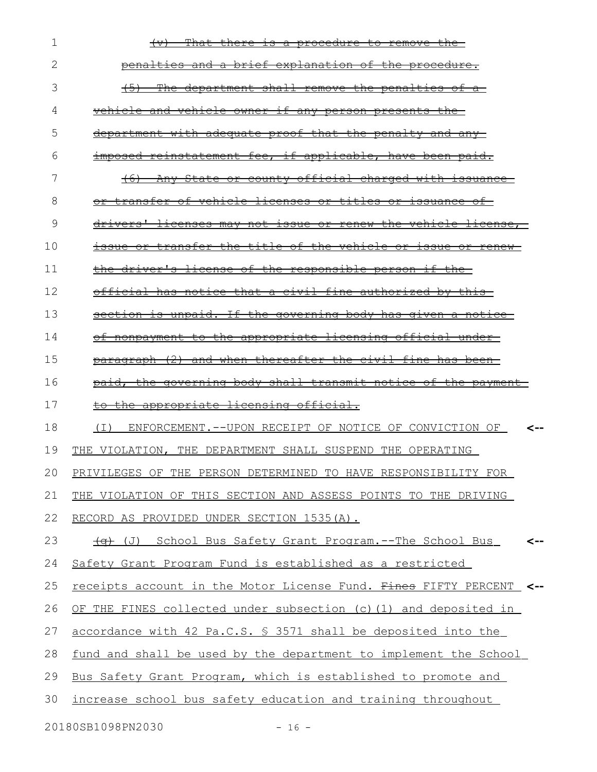| 1  | That there is a procedure to remove the<br>$\leftarrow$                     |
|----|-----------------------------------------------------------------------------|
| 2  | penalties and a brief explanation of the procedure.                         |
| 3  | department shall remove the penalties of a<br><del>The</del>                |
| 4  | vehicle and vehicle owner if any person presents                            |
| 5  | department with adequate proof that the penalty and any                     |
| 6  | imposed reinstatement fee, if applicable, have been paid.                   |
| 7  | State or county official charged with issuance<br>$+6+$<br><del>Anv-</del>  |
| 8  | transfer of vehicle licenses or titles or issuance of-                      |
| 9  | licenses may not issue or renew the vehicle license,<br><del>drivers'</del> |
| 10 | transfer the title of the vehicle or issue or renew-<br><del>1ssue or</del> |
| 11 | the driver's license of the responsible person if the-                      |
| 12 | official has notice that a civil fine authorized by this-                   |
| 13 | section is unpaid. If the governing body has given a notice                 |
| 14 | of nonpayment to the appropriate licensing official under-                  |
| 15 | paragraph (2) and when thereafter the civil fine has been-                  |
| 16 | paid, the governing body shall transmit notice of the payment               |
| 17 | to the appropriate licensing official.                                      |
| 18 | ENFORCEMENT. -- UPON RECEIPT OF NOTICE OF CONVICTION OF<br>( I )<br><--     |
| 19 | THE VIOLATION, THE DEPARTMENT SHALL SUSPEND THE OPERATING                   |
| 20 | PRIVILEGES OF THE PERSON DETERMINED TO HAVE RESPONSIBILITY FOR              |
| 21 | THE VIOLATION OF THIS SECTION AND ASSESS POINTS TO THE DRIVING              |
| 22 | RECORD AS PROVIDED UNDER SECTION 1535(A).                                   |
| 23 | <del>(g)</del> (J) School Bus Safety Grant Program.--The School Bus         |
| 24 | Safety Grant Program Fund is established as a restricted                    |
| 25 | receipts account in the Motor License Fund. Fines FIFTY PERCENT             |
| 26 | OF THE FINES collected under subsection (c) (1) and deposited in            |
| 27 | accordance with 42 Pa.C.S. § 3571 shall be deposited into the               |
| 28 | fund and shall be used by the department to implement the School            |
| 29 | Bus Safety Grant Program, which is established to promote and               |
| 30 | increase school bus safety education and training throughout                |
|    |                                                                             |

20180SB1098PN2030 - 16 -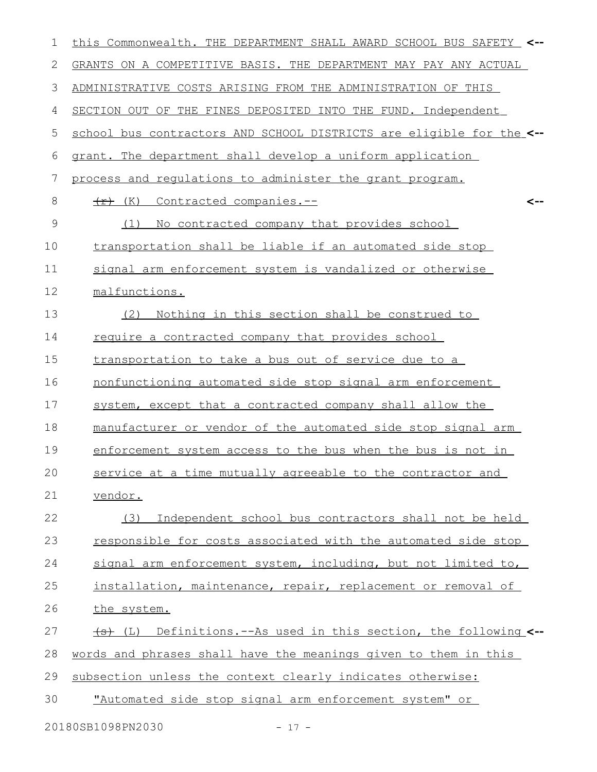| 1             | this Commonwealth. THE DEPARTMENT SHALL AWARD SCHOOL BUS SAFETY_ <-- |
|---------------|----------------------------------------------------------------------|
| 2             | GRANTS ON A COMPETITIVE BASIS. THE DEPARTMENT MAY PAY ANY ACTUAL     |
| 3             | ADMINISTRATIVE COSTS ARISING FROM THE ADMINISTRATION OF THIS         |
| 4             | SECTION OUT OF THE FINES DEPOSITED INTO THE FUND. Independent        |
| 5             | school bus contractors AND SCHOOL DISTRICTS are eligible for the <-- |
| 6             | grant. The department shall develop a uniform application            |
| 7             | process and requiations to administer the grant program.             |
| 8             | Contracted companies.--<br>$\overline{f}$ (K)<br><--                 |
| $\mathcal{G}$ | No contracted company that provides school<br>(1)                    |
| 10            | transportation shall be liable if an automated side stop             |
| 11            | signal arm enforcement system is vandalized or otherwise             |
| 12            | malfunctions.                                                        |
| 13            | Nothing in this section shall be construed to<br>(2)                 |
| 14            | require a contracted company that provides school                    |
| 15            | transportation to take a bus out of service due to a                 |
| 16            | nonfunctioning automated side stop signal arm enforcement            |
| 17            | system, except that a contracted company shall allow the             |
| 18            | manufacturer or vendor of the automated side stop signal arm         |
| 19            | enforcement system access to the bus when the bus is not in          |
| 20            | service at a time mutually agreeable to the contractor and           |
| 21            | vendor.                                                              |
| 22            | Independent school bus contractors shall not be held<br>(3)          |
| 23            | responsible for costs associated with the automated side stop        |
| 24            | signal arm enforcement system, including, but not limited to,        |
| 25            | installation, maintenance, repair, replacement or removal of         |
| 26            | the system.                                                          |
| 27            | (L) Definitions.--As used in this section, the following <--         |
| 28            | words and phrases shall have the meanings given to them in this      |
| 29            | subsection unless the context clearly indicates otherwise:           |
| 30            | "Automated side stop signal arm enforcement system" or               |
|               | 20180SB1098PN2030<br>$-17 -$                                         |